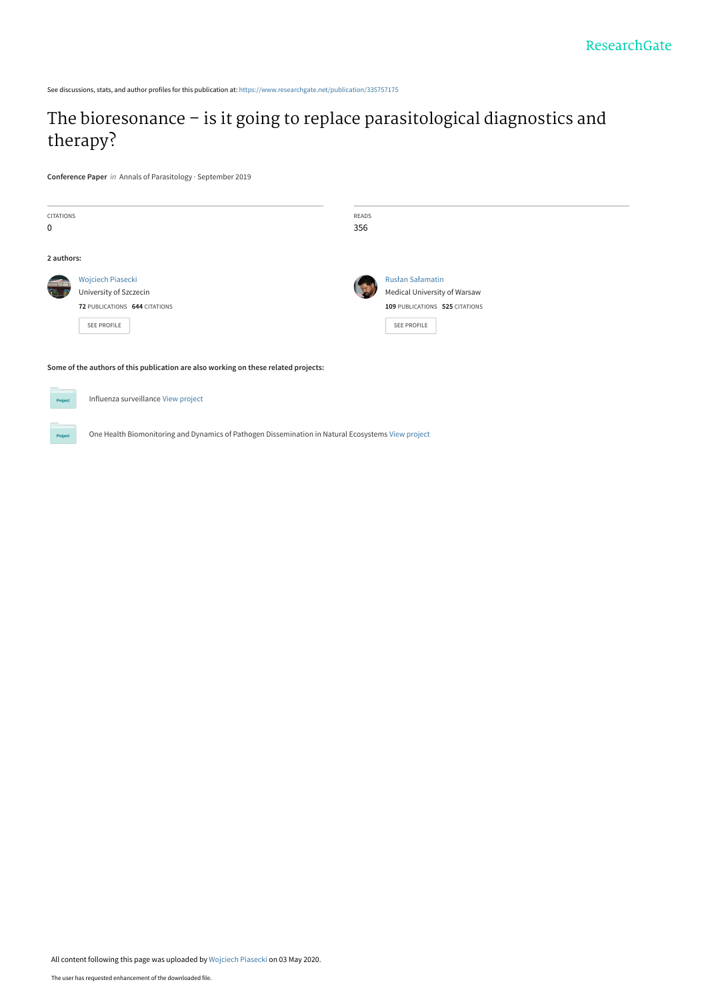See discussions, stats, and author profiles for this publication at: [https://www.researchgate.net/publication/335757175](https://www.researchgate.net/publication/335757175_The_bioresonance_-_is_it_going_to_replace_parasitological_diagnostics_and_therapy?enrichId=rgreq-ebe36ec418950e594469242ecca1d210-XXX&enrichSource=Y292ZXJQYWdlOzMzNTc1NzE3NTtBUzo4ODcxMTg5ODEyNDI4ODBAMTU4ODUxNzA1NTYzNQ%3D%3D&el=1_x_2&_esc=publicationCoverPdf)

### [The bioresonance – is it going to replace parasitological diagnostics and](https://www.researchgate.net/publication/335757175_The_bioresonance_-_is_it_going_to_replace_parasitological_diagnostics_and_therapy?enrichId=rgreq-ebe36ec418950e594469242ecca1d210-XXX&enrichSource=Y292ZXJQYWdlOzMzNTc1NzE3NTtBUzo4ODcxMTg5ODEyNDI4ODBAMTU4ODUxNzA1NTYzNQ%3D%3D&el=1_x_3&_esc=publicationCoverPdf) therapy?

**Conference Paper** in Annals of Parasitology · September 2019

**Project** 

| <b>CITATIONS</b><br>0                                                               |                                                                                                    | READS<br>356 |                                                                                                          |  |  |  |
|-------------------------------------------------------------------------------------|----------------------------------------------------------------------------------------------------|--------------|----------------------------------------------------------------------------------------------------------|--|--|--|
| 2 authors:                                                                          |                                                                                                    |              |                                                                                                          |  |  |  |
|                                                                                     | Wojciech Piasecki<br>University of Szczecin<br>72 PUBLICATIONS 644 CITATIONS<br><b>SEE PROFILE</b> |              | Rusłan Sałamatin<br><b>Medical University of Warsaw</b><br>109 PUBLICATIONS 525 CITATIONS<br>SEE PROFILE |  |  |  |
| Some of the authors of this publication are also working on these related projects: |                                                                                                    |              |                                                                                                          |  |  |  |
| Project                                                                             | Influenza surveillance View project                                                                |              |                                                                                                          |  |  |  |

One Health Biomonitoring and Dynamics of Pathogen Dissemination in Natural Ecosystems [View project](https://www.researchgate.net/project/One-Health-Biomonitoring-and-Dynamics-of-Pathogen-Dissemination-in-Natural-Ecosystems?enrichId=rgreq-ebe36ec418950e594469242ecca1d210-XXX&enrichSource=Y292ZXJQYWdlOzMzNTc1NzE3NTtBUzo4ODcxMTg5ODEyNDI4ODBAMTU4ODUxNzA1NTYzNQ%3D%3D&el=1_x_9&_esc=publicationCoverPdf)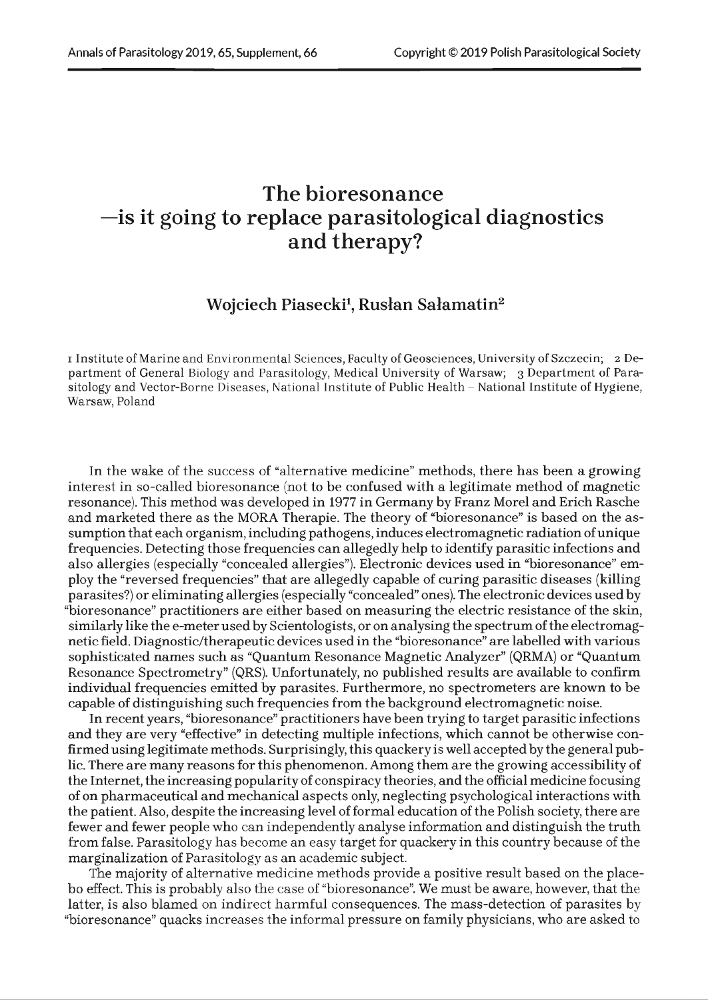### **The bioresonance —is it going to replace parasitological diagnostics and therapy?**

#### **Wojciech Piasecki1, Rusłan Sałamatin**2

i Institute of Marine and Environmental Sciences, Faculty of Geosciences, University of Szczecin; 2 Department of General Biology and Parasitology, Medical University of Warsaw; 3 Department of Parasitology and Vector-Borne Diseases, National Institute of Public Health - National Institute of Hygiene, Warsaw, Poland

In the wake of the success of "alternative medicine" methods, there has been a growing interest in so-called bioresonance (not to be confused with a legitimate method of magnetic resonance). This method was developed in 1977 in Germany by Franz Morel and Erich Rasche and marketed there as the MORA Therapie. The theory of "bioresonance" is based on the assumption that each organism, including pathogens, induces electromagnetic radiation of unique frequencies. Detecting those frequencies can allegedly help to identify parasitic infections and also allergies (especially "concealed allergies"). Electronic devices used in "bioresonance" employ the "reversed frequencies" that are allegedly capable of curing parasitic diseases (killing parasites?) or eliminating allergies (especially "concealed" ones). The electronic devices used by "bioresonance" practitioners are either based on measuring the electric resistance of the skin, similarly like the e-meter used by Scientologists, or on analysing the spectrum of the electromagnetic field. Diagnostic/therapeutic devices used in the "bioresonance" are labelled with various sophisticated names such as "Quantum Resonance Magnetic Analyzer" (QRMA) or "Quantum Resonance Spectrometry" (QRS). Unfortunately, no published results are available to confirm individual frequencies emitted by parasites. Furthermore, no spectrometers are known to be capable of distinguishing such frequencies from the background electromagnetic noise.

In recent years, "bioresonance" practitioners have been trying to target parasitic infections and they are very "effective" in detecting multiple infections, which cannot be otherwise confirmed using legitimate methods. Surprisingly, this quackery is well accepted by the general public. There are many reasons for this phenomenon. Among them are the growing accessibility of the Internet, the increasing popularity of conspiracy theories, and the official medicine focusing of on pharmaceutical and mechanical aspects only, neglecting psychological interactions with the patient. Also, despite the increasing level of formal education of the Polish society, there are fewer and fewer people who can independently analyse information and distinguish the truth from false. Parasitology has become an easy target for quackery in this country because of the marginalization of Parasitology as an academic subject.

The majority of alternative medicine methods provide a positive result based on the placebo effect. This is probably also the case of "bioresonance". We must be aware, however, that the latter, is also blamed on indirect harmful consequences. The mass-detection of parasites by "bioresonance" quacks increases the informal pressure on family physicians, who are asked to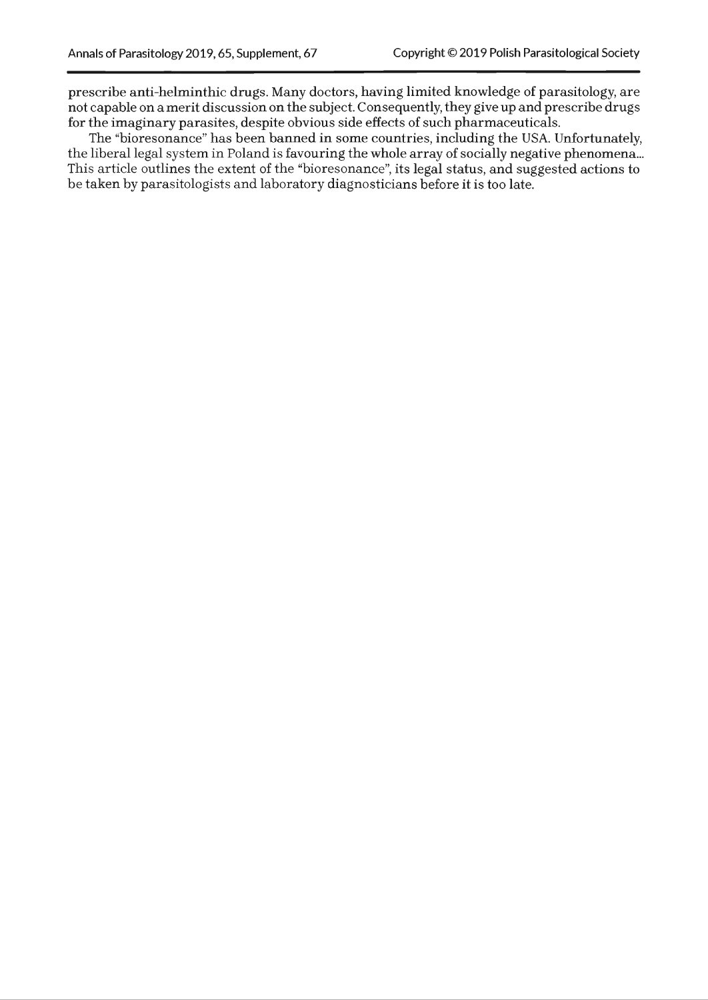prescribe anti-helminthic drugs. Many doctors, having limited knowledge of parasitology, are not capable on a merit discussion on the subject. Consequently, they give up and prescribe drugs for the imaginary parasites, despite obvious side effects of such pharmaceuticals.

The "bioresonance" has been banned in some countries, including the USA. Unfortunately, the liberal legal system in Poland is favouring the whole array of socially negative phenomena... This article outlines the extent of the "bioresonance", its legal status, and suggested actions to be taken by parasitologists and laboratory diagnosticians before it is too late.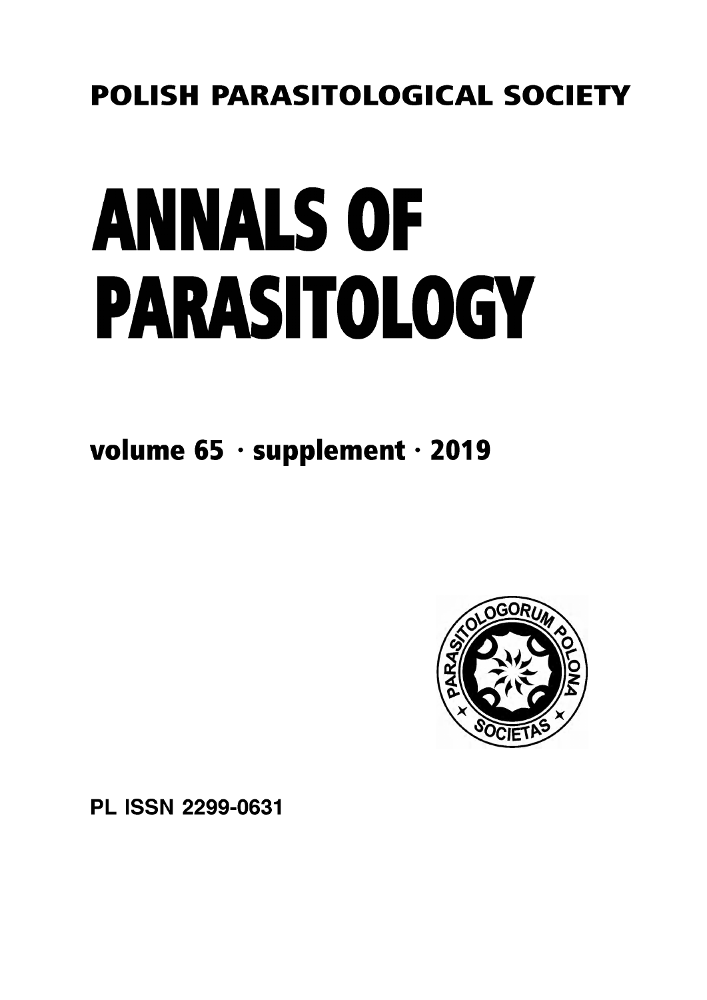### **POLISH PARASITOLOGICAL SOCIETY**

# ANNALS OF PARASITOLOGY

**volume 65 \* supplement \* 2019**



PL ISSN 2299-0631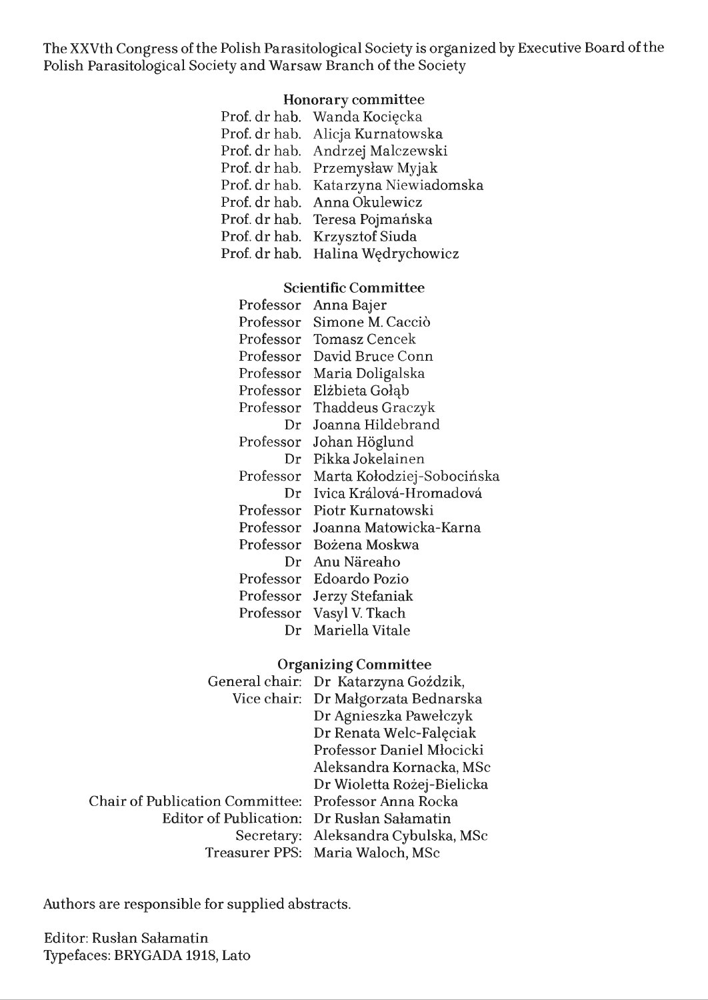The XXVth Congress of the Polish Parasitological Society is organized by Executive Board of the Polish Parasitological Society and Warsaw Branch of the Society

### **Honorary committee**

| Prof. dr hab. Wanda Kocięcka         |
|--------------------------------------|
| Prof. dr hab. Alicja Kurnatowska     |
| Prof. dr hab. Andrzej Malczewski     |
| Prof. dr hab. Przemysław Myjak       |
| Prof. dr hab. Katarzyna Niewiadomska |
| Prof. dr hab. Anna Okulewicz         |
| Prof. dr hab. Teresa Pojmańska       |
| Prof. dr hab. Krzysztof Siuda        |
| Prof. dr hab. Halina Wędrychowicz    |

### **Scientific Committee**

| Professor | Anna Bajer                 |
|-----------|----------------------------|
| Professor | Simone M. Cacciò           |
| Professor | Tomasz Cencek              |
| Professor | David Bruce Conn           |
| Professor | Maria Doligalska           |
| Professor | Elżbieta Gołąb             |
| Professor | Thaddeus Graczyk           |
| Dr        | Joanna Hildebrand          |
| Professor | Johan Höglund              |
| Dr        | Pikka Jokelainen           |
|           |                            |
| Professor | Marta Kołodziej-Sobocińska |
| Dr        | Ivica Králová-Hromadová    |
| Professor | Piotr Kurnatowski          |
| Professor | Joanna Matowicka-Karna     |
| Professor | Bożena Moskwa              |
| Dr        | Anu Näreaho                |
| Professor | Edoardo Pozio              |
| Professor | Jerzy Stefaniak            |
| Professor | Vasyl V. Tkach             |

### **Organizing Committee**

|                                                      | General chair: Dr Katarzyna Goździk, |
|------------------------------------------------------|--------------------------------------|
|                                                      | Vice chair: Dr Małgorzata Bednarska  |
|                                                      | Dr Agnieszka Pawełczyk               |
|                                                      | Dr Renata Welc-Faleciak              |
|                                                      | Professor Daniel Młocicki            |
|                                                      | Aleksandra Kornacka, MSc             |
|                                                      | Dr Wioletta Rożej-Bielicka           |
| Chair of Publication Committee: Professor Anna Rocka |                                      |
| Editor of Publication: Dr Ruslan Salamatin           |                                      |
|                                                      | Secretary: Aleksandra Cybulska, MSc  |
|                                                      | Treasurer PPS: Maria Waloch, MSc     |

Authors are responsible for supplied abstracts.

Editor: Ruslan Sałamatin Typefaces: BRYGADA 1918, Lato